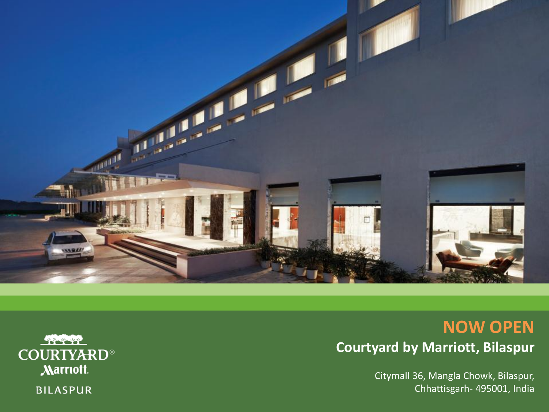

# **NOW OPEN Courtyard by Marriott, Bilaspur**

Citymall 36, Mangla Chowk, Bilaspur, Chhattisgarh- 495001, India

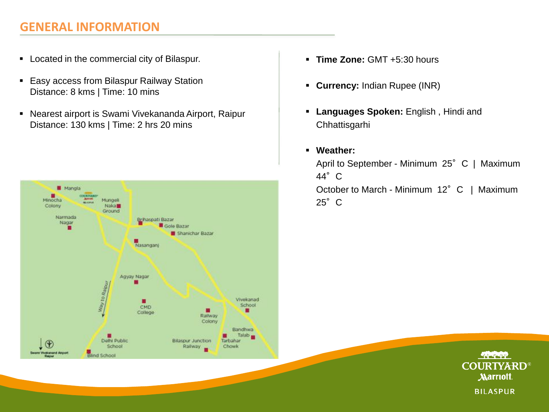### **GENERAL INFORMATION**

- **EXEC** Located in the commercial city of Bilaspur.
- **Easy access from Bilaspur Railway Station** Distance: 8 kms | Time: 10 mins
- Nearest airport is Swami Vivekananda Airport, Raipur Distance: 130 kms | Time: 2 hrs 20 mins



- **Time Zone:** GMT +5:30 hours
- **Currency:** Indian Rupee (INR)
- **Languages Spoken:** English , Hindi and Chhattisgarhi
- **Weather:**  April to September - Minimum 25° C | Maximum 44°C October to March - Minimum 12° C | Maximum 25°C

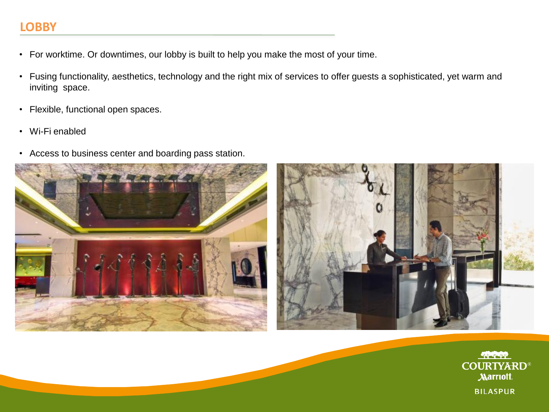#### **LOBBY**

- For worktime. Or downtimes, our lobby is built to help you make the most of your time.
- Fusing functionality, aesthetics, technology and the right mix of services to offer guests a sophisticated, yet warm and inviting space.
- Flexible, functional open spaces.
- Wi-Fi enabled
- Access to business center and boarding pass station.





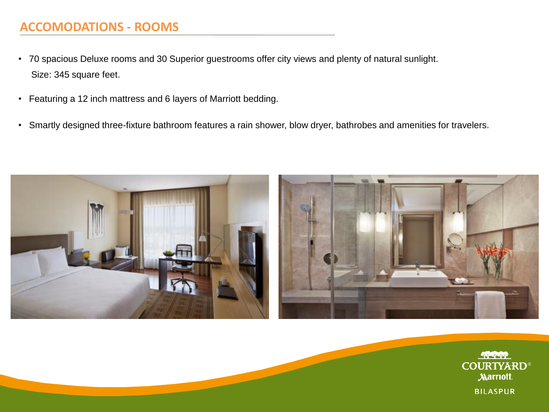### **ACCOMODATIONS - ROOMS**

- 70 spacious Deluxe rooms and 30 Superior guestrooms offer city views and plenty of natural sunlight. Size: 345 square feet.
- Featuring a 12 inch mattress and 6 layers of Marriott bedding.
- Smartly designed three-fixture bathroom features a rain shower, blow dryer, bathrobes and amenities for travelers.



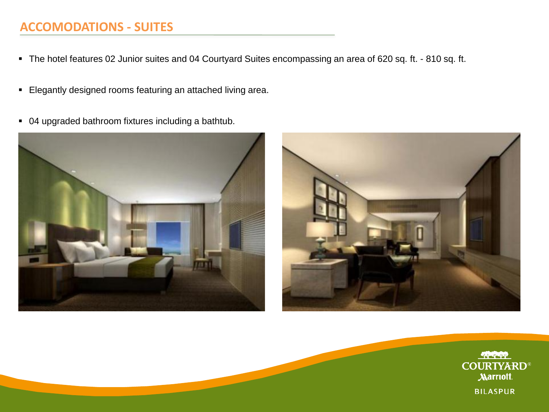### **ACCOMODATIONS - SUITES**

- The hotel features 02 Junior suites and 04 Courtyard Suites encompassing an area of 620 sq. ft. 810 sq. ft.
- Elegantly designed rooms featuring an attached living area.
- 04 upgraded bathroom fixtures including a bathtub.





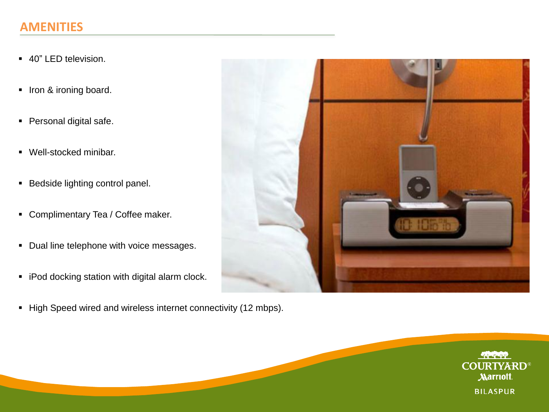#### **AMENITIES**

- 40" LED television.
- **Iron & ironing board.**
- **Personal digital safe.**
- Well-stocked minibar.
- **Bedside lighting control panel.**
- Complimentary Tea / Coffee maker.
- Dual line telephone with voice messages.
- **iPod docking station with digital alarm clock.**
- High Speed wired and wireless internet connectivity (12 mbps).



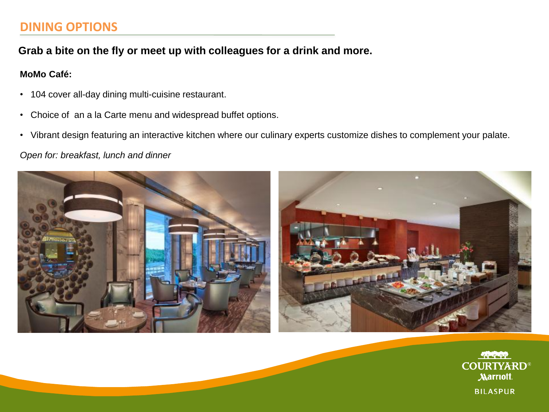#### **DINING OPTIONS**

**Grab a bite on the fly or meet up with colleagues for a drink and more.**

#### **MoMo Café:**

- 104 cover all-day dining multi-cuisine restaurant.
- Choice of an a la Carte menu and widespread buffet options.
- Vibrant design featuring an interactive kitchen where our culinary experts customize dishes to complement your palate.

*Open for: breakfast, lunch and dinner*



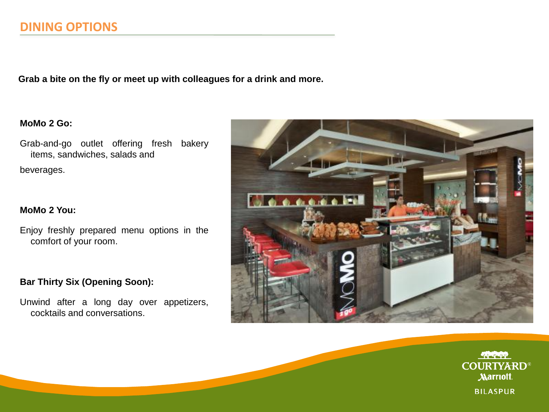#### **DINING OPTIONS**

**Grab a bite on the fly or meet up with colleagues for a drink and more.**

#### **MoMo 2 Go:**

Grab-and-go outlet offering fresh bakery items, sandwiches, salads and

beverages.

#### **MoMo 2 You:**

Enjoy freshly prepared menu options in the comfort of your room.

#### **Bar Thirty Six (Opening Soon):**

Unwind after a long day over appetizers, cocktails and conversations.



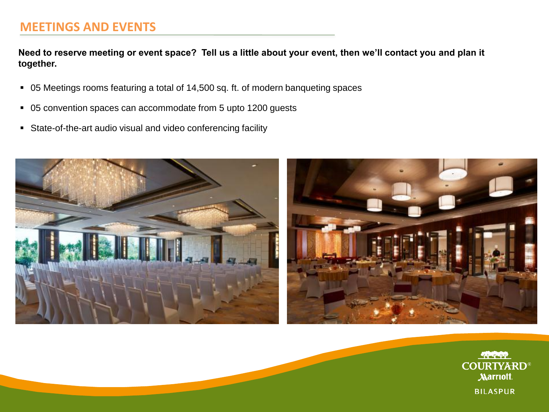#### **MEETINGS AND EVENTS**

**Need to reserve meeting or event space? Tell us a little about your event, then we'll contact you and plan it together.**

- 05 Meetings rooms featuring a total of 14,500 sq. ft. of modern banqueting spaces
- 05 convention spaces can accommodate from 5 upto 1200 guests
- State-of-the-art audio visual and video conferencing facility



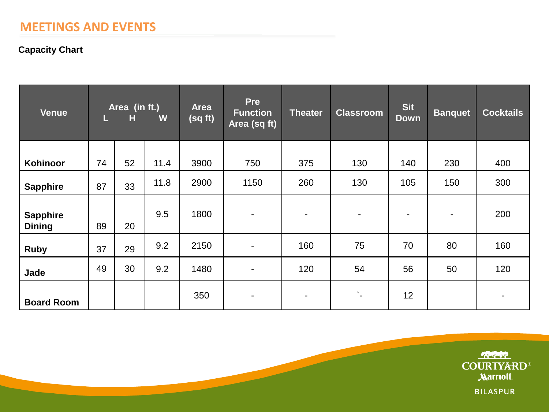#### **MEETINGS AND EVENTS**

#### **Capacity Chart**

| <b>Venue</b>                     | Area (in ft.)<br>W<br>H<br>L. |    |      | <b>Area</b><br>(sq ft) | Pre<br><b>Function</b><br>Area (sq ft) | <b>Theater</b>           | <b>Classroom</b> | <b>Sit</b><br><b>Down</b> | <b>Banquet</b>           | <b>Cocktails</b> |
|----------------------------------|-------------------------------|----|------|------------------------|----------------------------------------|--------------------------|------------------|---------------------------|--------------------------|------------------|
| Kohinoor                         | 74                            | 52 | 11.4 | 3900                   | 750                                    | 375                      | 130              | 140                       | 230                      | 400              |
| <b>Sapphire</b>                  | 87                            | 33 | 11.8 | 2900                   | 1150                                   | 260                      | 130              | 105                       | 150                      | 300              |
| <b>Sapphire</b><br><b>Dining</b> | 89                            | 20 | 9.5  | 1800                   | $\blacksquare$                         | $\blacksquare$           | $\blacksquare$   | $\overline{\phantom{0}}$  | $\overline{\phantom{a}}$ | 200              |
| <b>Ruby</b>                      | 37                            | 29 | 9.2  | 2150                   | $\overline{\phantom{a}}$               | 160                      | 75               | 70                        | 80                       | 160              |
| Jade                             | 49                            | 30 | 9.2  | 1480                   | $\overline{\phantom{a}}$               | 120                      | 54               | 56                        | 50                       | 120              |
| <b>Board Room</b>                |                               |    |      | 350                    | $\blacksquare$                         | $\overline{\phantom{0}}$ | $\Sigma_{\rm e}$ | 12                        |                          | $\blacksquare$   |

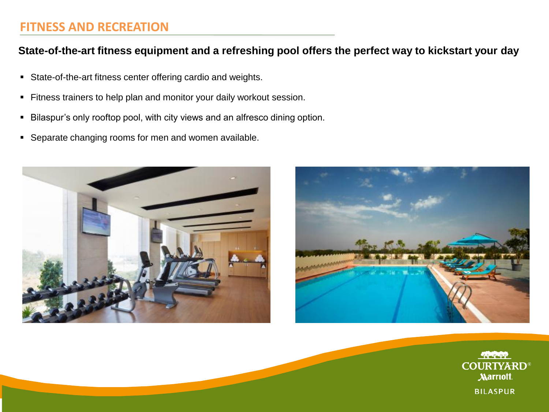#### **FITNESS AND RECREATION**

#### **State-of-the-art fitness equipment and a refreshing pool offers the perfect way to kickstart your day**

- State-of-the-art fitness center offering cardio and weights.
- **Fitness trainers to help plan and monitor your daily workout session.**
- **Bilaspur's only rooftop pool, with city views and an alfresco dining option.**
- **Separate changing rooms for men and women available.**





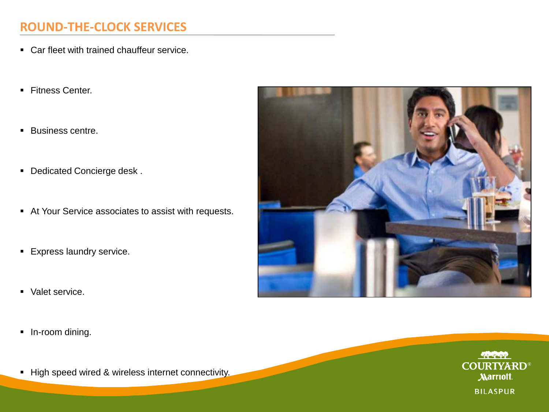### **ROUND-THE-CLOCK SERVICES**

- Car fleet with trained chauffeur service.
- Fitness Center.
- **Business centre.**
- **Dedicated Concierge desk.**
- At Your Service associates to assist with requests.
- **Express laundry service.**
- **Valet service.**
- **In-room dining.**
- High speed wired & wireless internet connectivity.



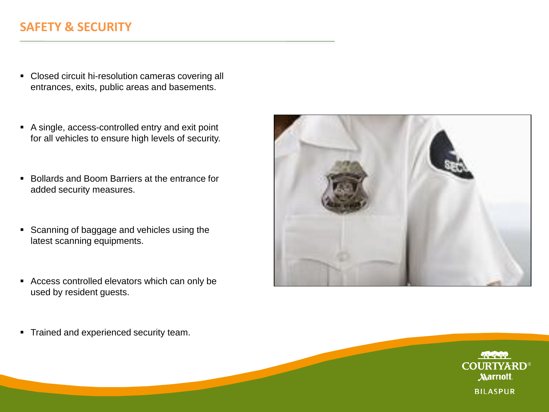### **SAFETY & SECURITY**

- Closed circuit hi-resolution cameras covering all entrances, exits, public areas and basements.
- A single, access-controlled entry and exit point for all vehicles to ensure high levels of security.
- Bollards and Boom Barriers at the entrance for added security measures.
- Scanning of baggage and vehicles using the latest scanning equipments.
- Access controlled elevators which can only be used by resident guests.

**Trained and experienced security team.** 

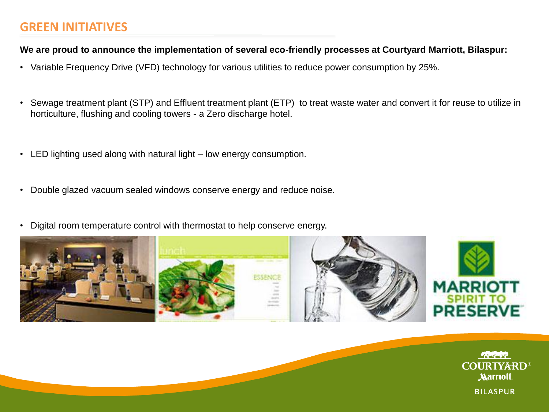#### **GREEN INITIATIVES**

#### **We are proud to announce the implementation of several eco-friendly processes at Courtyard Marriott, Bilaspur:**

- Variable Frequency Drive (VFD) technology for various utilities to reduce power consumption by 25%.
- Sewage treatment plant (STP) and Effluent treatment plant (ETP) to treat waste water and convert it for reuse to utilize in horticulture, flushing and cooling towers - a Zero discharge hotel.
- LED lighting used along with natural light low energy consumption.
- Double glazed vacuum sealed windows conserve energy and reduce noise.
- Digital room temperature control with thermostat to help conserve energy.